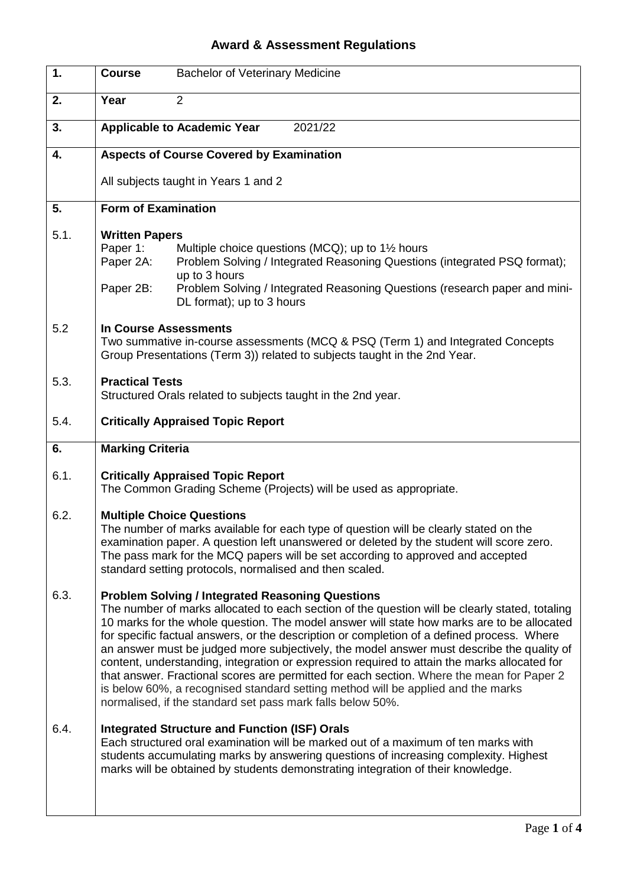## **Award & Assessment Regulations**

| 1.   | <b>Course</b><br><b>Bachelor of Veterinary Medicine</b>                                                                                                                                                                                                                                                                                                                                                                                                                                                                                                                                                                                                                                                                                                                                           |
|------|---------------------------------------------------------------------------------------------------------------------------------------------------------------------------------------------------------------------------------------------------------------------------------------------------------------------------------------------------------------------------------------------------------------------------------------------------------------------------------------------------------------------------------------------------------------------------------------------------------------------------------------------------------------------------------------------------------------------------------------------------------------------------------------------------|
| 2.   | Year<br>2                                                                                                                                                                                                                                                                                                                                                                                                                                                                                                                                                                                                                                                                                                                                                                                         |
| 3.   | <b>Applicable to Academic Year</b><br>2021/22                                                                                                                                                                                                                                                                                                                                                                                                                                                                                                                                                                                                                                                                                                                                                     |
| 4.   | <b>Aspects of Course Covered by Examination</b>                                                                                                                                                                                                                                                                                                                                                                                                                                                                                                                                                                                                                                                                                                                                                   |
|      | All subjects taught in Years 1 and 2                                                                                                                                                                                                                                                                                                                                                                                                                                                                                                                                                                                                                                                                                                                                                              |
| 5.   | <b>Form of Examination</b>                                                                                                                                                                                                                                                                                                                                                                                                                                                                                                                                                                                                                                                                                                                                                                        |
| 5.1. | <b>Written Papers</b><br>Paper 1:<br>Multiple choice questions (MCQ); up to 1 <sup>1/2</sup> hours<br>Problem Solving / Integrated Reasoning Questions (integrated PSQ format);<br>Paper 2A:<br>up to 3 hours<br>Paper 2B:<br>Problem Solving / Integrated Reasoning Questions (research paper and mini-<br>DL format); up to 3 hours                                                                                                                                                                                                                                                                                                                                                                                                                                                             |
| 5.2  | In Course Assessments<br>Two summative in-course assessments (MCQ & PSQ (Term 1) and Integrated Concepts<br>Group Presentations (Term 3)) related to subjects taught in the 2nd Year.                                                                                                                                                                                                                                                                                                                                                                                                                                                                                                                                                                                                             |
| 5.3. | <b>Practical Tests</b><br>Structured Orals related to subjects taught in the 2nd year.                                                                                                                                                                                                                                                                                                                                                                                                                                                                                                                                                                                                                                                                                                            |
| 5.4. | <b>Critically Appraised Topic Report</b>                                                                                                                                                                                                                                                                                                                                                                                                                                                                                                                                                                                                                                                                                                                                                          |
| 6.   | <b>Marking Criteria</b>                                                                                                                                                                                                                                                                                                                                                                                                                                                                                                                                                                                                                                                                                                                                                                           |
| 6.1. | <b>Critically Appraised Topic Report</b><br>The Common Grading Scheme (Projects) will be used as appropriate.                                                                                                                                                                                                                                                                                                                                                                                                                                                                                                                                                                                                                                                                                     |
| 6.2. | <b>Multiple Choice Questions</b><br>The number of marks available for each type of question will be clearly stated on the<br>examination paper. A question left unanswered or deleted by the student will score zero.<br>The pass mark for the MCQ papers will be set according to approved and accepted<br>standard setting protocols, normalised and then scaled.                                                                                                                                                                                                                                                                                                                                                                                                                               |
| 6.3. | <b>Problem Solving / Integrated Reasoning Questions</b><br>The number of marks allocated to each section of the question will be clearly stated, totaling<br>10 marks for the whole question. The model answer will state how marks are to be allocated<br>for specific factual answers, or the description or completion of a defined process. Where<br>an answer must be judged more subjectively, the model answer must describe the quality of<br>content, understanding, integration or expression required to attain the marks allocated for<br>that answer. Fractional scores are permitted for each section. Where the mean for Paper 2<br>is below 60%, a recognised standard setting method will be applied and the marks<br>normalised, if the standard set pass mark falls below 50%. |
| 6.4. | <b>Integrated Structure and Function (ISF) Orals</b><br>Each structured oral examination will be marked out of a maximum of ten marks with<br>students accumulating marks by answering questions of increasing complexity. Highest<br>marks will be obtained by students demonstrating integration of their knowledge.                                                                                                                                                                                                                                                                                                                                                                                                                                                                            |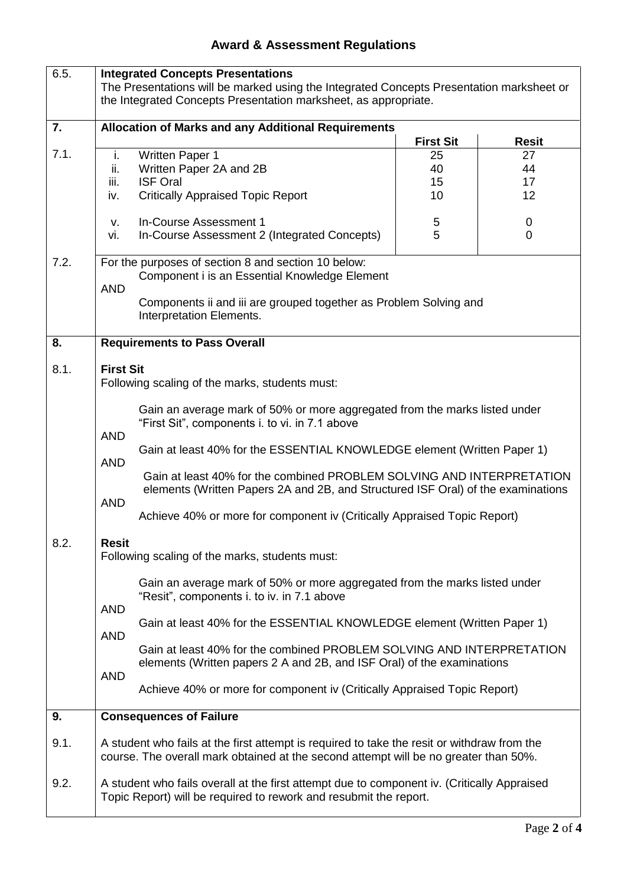## **Award & Assessment Regulations**

| 6.5.         | <b>Integrated Concepts Presentations</b><br>The Presentations will be marked using the Integrated Concepts Presentation marksheet or<br>the Integrated Concepts Presentation marksheet, as appropriate.                                                                                                                                                                                                                                                                                                                                                                                                                                                                                                                                                                                                                                                                                                                                                                                                                                |                           |                           |
|--------------|----------------------------------------------------------------------------------------------------------------------------------------------------------------------------------------------------------------------------------------------------------------------------------------------------------------------------------------------------------------------------------------------------------------------------------------------------------------------------------------------------------------------------------------------------------------------------------------------------------------------------------------------------------------------------------------------------------------------------------------------------------------------------------------------------------------------------------------------------------------------------------------------------------------------------------------------------------------------------------------------------------------------------------------|---------------------------|---------------------------|
| 7.           | <b>Allocation of Marks and any Additional Requirements</b>                                                                                                                                                                                                                                                                                                                                                                                                                                                                                                                                                                                                                                                                                                                                                                                                                                                                                                                                                                             | <b>First Sit</b>          | <b>Resit</b>              |
| 7.1.         | i.<br><b>Written Paper 1</b><br>ii.<br>Written Paper 2A and 2B<br>iii.<br><b>ISF Oral</b><br><b>Critically Appraised Topic Report</b><br>iv.<br>In-Course Assessment 1<br>V.                                                                                                                                                                                                                                                                                                                                                                                                                                                                                                                                                                                                                                                                                                                                                                                                                                                           | 25<br>40<br>15<br>10<br>5 | 27<br>44<br>17<br>12<br>0 |
| 7.2.         | In-Course Assessment 2 (Integrated Concepts)<br>vi.<br>For the purposes of section 8 and section 10 below:<br>Component i is an Essential Knowledge Element<br><b>AND</b><br>Components ii and iii are grouped together as Problem Solving and<br>Interpretation Elements.                                                                                                                                                                                                                                                                                                                                                                                                                                                                                                                                                                                                                                                                                                                                                             | 5                         | $\overline{0}$            |
| 8.           | <b>Requirements to Pass Overall</b>                                                                                                                                                                                                                                                                                                                                                                                                                                                                                                                                                                                                                                                                                                                                                                                                                                                                                                                                                                                                    |                           |                           |
| 8.1.<br>8.2. | <b>First Sit</b><br>Following scaling of the marks, students must:<br>Gain an average mark of 50% or more aggregated from the marks listed under<br>"First Sit", components i. to vi. in 7.1 above<br><b>AND</b><br>Gain at least 40% for the ESSENTIAL KNOWLEDGE element (Written Paper 1)<br><b>AND</b><br>Gain at least 40% for the combined PROBLEM SOLVING AND INTERPRETATION<br>elements (Written Papers 2A and 2B, and Structured ISF Oral) of the examinations<br><b>AND</b><br>Achieve 40% or more for component iv (Critically Appraised Topic Report)<br><b>Resit</b><br>Following scaling of the marks, students must:<br>Gain an average mark of 50% or more aggregated from the marks listed under<br>"Resit", components i. to iv. in 7.1 above<br><b>AND</b><br>Gain at least 40% for the ESSENTIAL KNOWLEDGE element (Written Paper 1)<br><b>AND</b><br>Gain at least 40% for the combined PROBLEM SOLVING AND INTERPRETATION<br>elements (Written papers 2 A and 2B, and ISF Oral) of the examinations<br><b>AND</b> |                           |                           |
| 9.           | Achieve 40% or more for component iv (Critically Appraised Topic Report)<br><b>Consequences of Failure</b>                                                                                                                                                                                                                                                                                                                                                                                                                                                                                                                                                                                                                                                                                                                                                                                                                                                                                                                             |                           |                           |
| 9.1.         | A student who fails at the first attempt is required to take the resit or withdraw from the<br>course. The overall mark obtained at the second attempt will be no greater than 50%.                                                                                                                                                                                                                                                                                                                                                                                                                                                                                                                                                                                                                                                                                                                                                                                                                                                    |                           |                           |
| 9.2.         | A student who fails overall at the first attempt due to component iv. (Critically Appraised<br>Topic Report) will be required to rework and resubmit the report.                                                                                                                                                                                                                                                                                                                                                                                                                                                                                                                                                                                                                                                                                                                                                                                                                                                                       |                           |                           |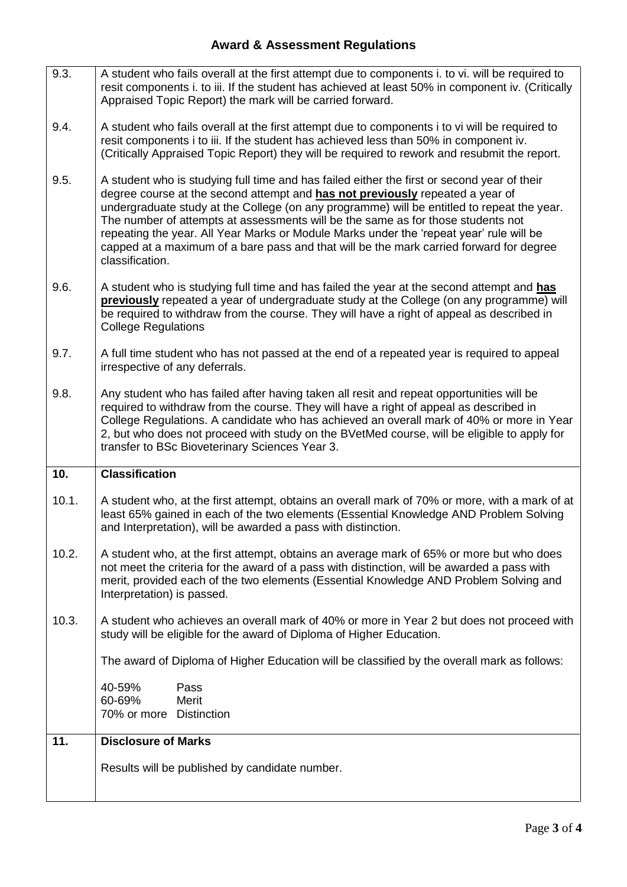## **Award & Assessment Regulations**

| 9.3.  | A student who fails overall at the first attempt due to components i. to vi. will be required to<br>resit components i. to iii. If the student has achieved at least 50% in component iv. (Critically<br>Appraised Topic Report) the mark will be carried forward.                                                                                                                                                                                                                                                                                                      |
|-------|-------------------------------------------------------------------------------------------------------------------------------------------------------------------------------------------------------------------------------------------------------------------------------------------------------------------------------------------------------------------------------------------------------------------------------------------------------------------------------------------------------------------------------------------------------------------------|
| 9.4.  | A student who fails overall at the first attempt due to components i to vi will be required to<br>resit components i to iii. If the student has achieved less than 50% in component iv.<br>(Critically Appraised Topic Report) they will be required to rework and resubmit the report.                                                                                                                                                                                                                                                                                 |
| 9.5.  | A student who is studying full time and has failed either the first or second year of their<br>degree course at the second attempt and has not previously repeated a year of<br>undergraduate study at the College (on any programme) will be entitled to repeat the year.<br>The number of attempts at assessments will be the same as for those students not<br>repeating the year. All Year Marks or Module Marks under the 'repeat year' rule will be<br>capped at a maximum of a bare pass and that will be the mark carried forward for degree<br>classification. |
| 9.6.  | A student who is studying full time and has failed the year at the second attempt and has<br>previously repeated a year of undergraduate study at the College (on any programme) will<br>be required to withdraw from the course. They will have a right of appeal as described in<br><b>College Regulations</b>                                                                                                                                                                                                                                                        |
| 9.7.  | A full time student who has not passed at the end of a repeated year is required to appeal<br>irrespective of any deferrals.                                                                                                                                                                                                                                                                                                                                                                                                                                            |
| 9.8.  | Any student who has failed after having taken all resit and repeat opportunities will be<br>required to withdraw from the course. They will have a right of appeal as described in<br>College Regulations. A candidate who has achieved an overall mark of 40% or more in Year<br>2, but who does not proceed with study on the BVetMed course, will be eligible to apply for<br>transfer to BSc Bioveterinary Sciences Year 3.                                                                                                                                         |
| 10.   | <b>Classification</b>                                                                                                                                                                                                                                                                                                                                                                                                                                                                                                                                                   |
| 10.1. | A student who, at the first attempt, obtains an overall mark of 70% or more, with a mark of at                                                                                                                                                                                                                                                                                                                                                                                                                                                                          |
|       | least 65% gained in each of the two elements (Essential Knowledge AND Problem Solving<br>and Interpretation), will be awarded a pass with distinction.                                                                                                                                                                                                                                                                                                                                                                                                                  |
| 10.2. | A student who, at the first attempt, obtains an average mark of 65% or more but who does<br>not meet the criteria for the award of a pass with distinction, will be awarded a pass with<br>merit, provided each of the two elements (Essential Knowledge AND Problem Solving and<br>Interpretation) is passed.                                                                                                                                                                                                                                                          |
| 10.3. | A student who achieves an overall mark of 40% or more in Year 2 but does not proceed with<br>study will be eligible for the award of Diploma of Higher Education.                                                                                                                                                                                                                                                                                                                                                                                                       |
|       | The award of Diploma of Higher Education will be classified by the overall mark as follows:                                                                                                                                                                                                                                                                                                                                                                                                                                                                             |
|       | Pass<br>40-59%<br>60-69%<br>Merit<br>70% or more Distinction                                                                                                                                                                                                                                                                                                                                                                                                                                                                                                            |
| 11.   | <b>Disclosure of Marks</b>                                                                                                                                                                                                                                                                                                                                                                                                                                                                                                                                              |